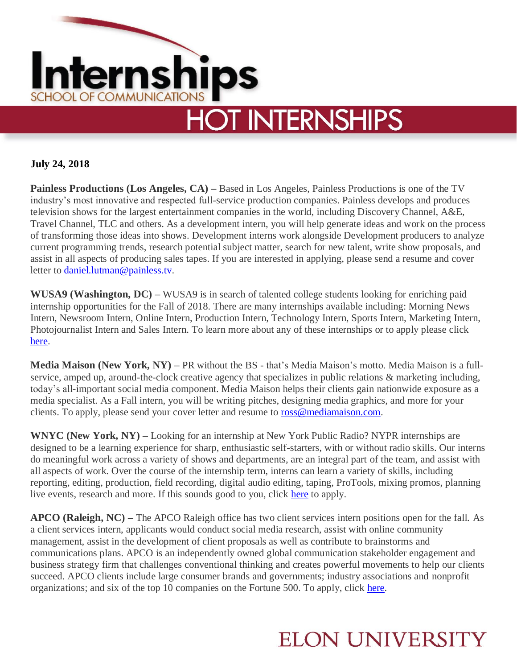

## **July 24, 2018**

**Painless Productions (Los Angeles, CA) –** Based in Los Angeles, Painless Productions is one of the TV industry's most innovative and respected full-service production companies. Painless develops and produces television shows for the largest entertainment companies in the world, including Discovery Channel, A&E, Travel Channel, TLC and others. As a development intern, you will help generate ideas and work on the process of transforming those ideas into shows. Development interns work alongside Development producers to analyze current programming trends, research potential subject matter, search for new talent, write show proposals, and assist in all aspects of producing sales tapes. If you are interested in applying, please send a resume and cover letter to [daniel.lutman@painless.tv.](mailto:daniel.lutman@painless.tv)

**WUSA9 (Washington, DC) –** WUSA9 is in search of talented college students looking for enriching paid internship opportunities for the Fall of 2018. There are many internships available including: Morning News Intern, Newsroom Intern, Online Intern, Production Intern, Technology Intern, Sports Intern, Marketing Intern, Photojournalist Intern and Sales Intern. To learn more about any of these internships or to apply please click [here.](https://www.jobs.net/jobs/tegna/en-us/all-jobs/?companyf=WUSA)

**Media Maison (New York, NY) –** PR without the BS - that's Media Maison's motto. Media Maison is a fullservice, amped up, around-the-clock creative agency that specializes in public relations & marketing including, today's all-important social media component. Media Maison helps their clients gain nationwide exposure as a media specialist. As a Fall intern, you will be writing pitches, designing media graphics, and more for your clients. To apply, please send your cover letter and resume to [ross@mediamaison.com.](mailto:ross@mediamaison.com)

**WNYC (New York, NY) –** Looking for an internship at New York Public Radio? NYPR internships are designed to be a learning experience for sharp, enthusiastic self-starters, with or without radio skills. Our interns do meaningful work across a variety of shows and departments, are an integral part of the team, and assist with all aspects of work. Over the course of the internship term, interns can learn a variety of skills, including reporting, editing, production, field recording, digital audio editing, taping, ProTools, mixing promos, planning live events, research and more. If this sounds good to you, click [here](https://www.wnyc.org/internships-new-york-public-radio/) to apply.

**APCO (Raleigh, NC) –** The APCO Raleigh office has two client services intern positions open for the fall. As a client services intern, applicants would conduct social media research, assist with online community management, assist in the development of client proposals as well as contribute to brainstorms and communications plans. APCO is an independently owned global communication stakeholder engagement and business strategy firm that challenges conventional thinking and creates powerful movements to help our clients succeed. APCO clients include large consumer brands and governments; industry associations and nonprofit organizations; and six of the top 10 companies on the Fortune 500. To apply, click [here.](https://www.apcoworldwide.com/about-us/our-people/careers/interns?p=job%2Fo0iM7fwV)

## **ELON UNIVERSITY**